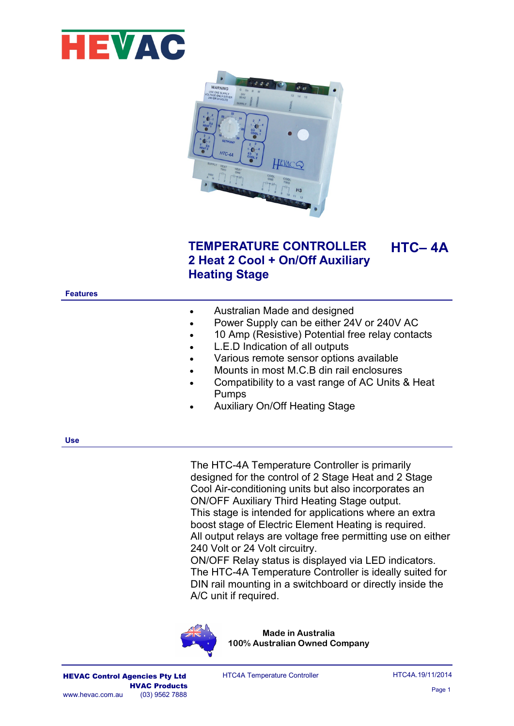



# **TEMPERATURE CONTROLLER 2 Heat 2 Cool + On/Off Auxiliary Heating Stage**

#### **Features**

| Australian Made and designed |
|------------------------------|
|                              |

- Power Supply can be either 24V or 240V AC
- 10 Amp (Resistive) Potential free relay contacts
- L.E.D Indication of all outputs
- Various remote sensor options available
- Mounts in most M.C.B din rail enclosures
- Compatibility to a vast range of AC Units & Heat Pumps
- Auxiliary On/Off Heating Stage

**Use**

The HTC-4A Temperature Controller is primarily designed for the control of 2 Stage Heat and 2 Stage Cool Air-conditioning units but also incorporates an ON/OFF Auxiliary Third Heating Stage output. This stage is intended for applications where an extra boost stage of Electric Element Heating is required. All output relays are voltage free permitting use on either 240 Volt or 24 Volt circuitry. ON/OFF Relay status is displayed via LED indicators.

The HTC-4A Temperature Controller is ideally suited for DIN rail mounting in a switchboard or directly inside the A/C unit if required.



**Made in Australia 100% Australian Owned Company**

HTC4A Temperature Controller

**HTC– 4A**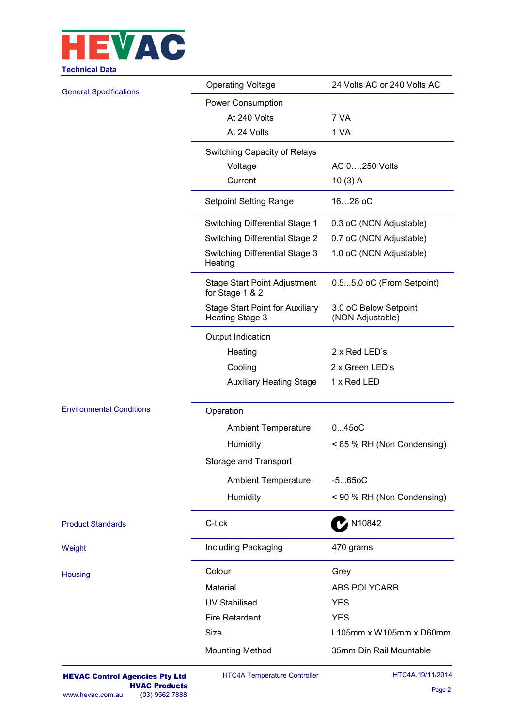

| cumucar Data                    |                                                           |                                                    |  |  |  |  |  |
|---------------------------------|-----------------------------------------------------------|----------------------------------------------------|--|--|--|--|--|
| <b>General Specifications</b>   | <b>Operating Voltage</b>                                  | 24 Volts AC or 240 Volts AC                        |  |  |  |  |  |
|                                 | Power Consumption                                         |                                                    |  |  |  |  |  |
|                                 | At 240 Volts                                              | 7 VA                                               |  |  |  |  |  |
|                                 | At 24 Volts                                               | 1 VA                                               |  |  |  |  |  |
|                                 | Switching Capacity of Relays                              |                                                    |  |  |  |  |  |
|                                 | Voltage                                                   | AC 0250 Volts                                      |  |  |  |  |  |
|                                 | Current                                                   | 10(3) A                                            |  |  |  |  |  |
|                                 | <b>Setpoint Setting Range</b>                             | 1628 oC                                            |  |  |  |  |  |
|                                 | Switching Differential Stage 1                            | 0.3 oC (NON Adjustable)                            |  |  |  |  |  |
|                                 | <b>Switching Differential Stage 2</b>                     | 0.7 oC (NON Adjustable)<br>1.0 oC (NON Adjustable) |  |  |  |  |  |
|                                 | Switching Differential Stage 3<br>Heating                 |                                                    |  |  |  |  |  |
|                                 | <b>Stage Start Point Adjustment</b><br>for Stage 1 & 2    | 0.55.0 oC (From Setpoint)                          |  |  |  |  |  |
|                                 | <b>Stage Start Point for Auxiliary</b><br>Heating Stage 3 | 3.0 oC Below Setpoint<br>(NON Adjustable)          |  |  |  |  |  |
|                                 | Output Indication                                         |                                                    |  |  |  |  |  |
|                                 | Heating                                                   | 2 x Red LED's                                      |  |  |  |  |  |
|                                 | Cooling                                                   | 2 x Green LED's                                    |  |  |  |  |  |
|                                 | <b>Auxiliary Heating Stage</b>                            | 1 x Red LED                                        |  |  |  |  |  |
| <b>Environmental Conditions</b> | Operation                                                 |                                                    |  |  |  |  |  |
|                                 | <b>Ambient Temperature</b>                                | 0450C                                              |  |  |  |  |  |
|                                 | Humidity                                                  | < 85 % RH (Non Condensing)                         |  |  |  |  |  |
|                                 | Storage and Transport                                     |                                                    |  |  |  |  |  |
|                                 | <b>Ambient Temperature</b>                                | $-5650C$                                           |  |  |  |  |  |
|                                 | Humidity                                                  | < 90 % RH (Non Condensing)                         |  |  |  |  |  |
|                                 |                                                           |                                                    |  |  |  |  |  |
| <b>Product Standards</b>        | C-tick                                                    | N10842                                             |  |  |  |  |  |
| Weight                          | Including Packaging                                       | 470 grams                                          |  |  |  |  |  |
| Housing                         | Colour                                                    | Grey                                               |  |  |  |  |  |
|                                 | Material                                                  | ABS POLYCARB                                       |  |  |  |  |  |
|                                 | <b>UV Stabilised</b>                                      | <b>YES</b>                                         |  |  |  |  |  |
|                                 | Fire Retardant                                            | <b>YES</b>                                         |  |  |  |  |  |
|                                 | Size                                                      | L105mm x W105mm x D60mm                            |  |  |  |  |  |
|                                 | <b>Mounting Method</b>                                    | 35mm Din Rail Mountable                            |  |  |  |  |  |
|                                 |                                                           |                                                    |  |  |  |  |  |

HTC4A Temperature Controller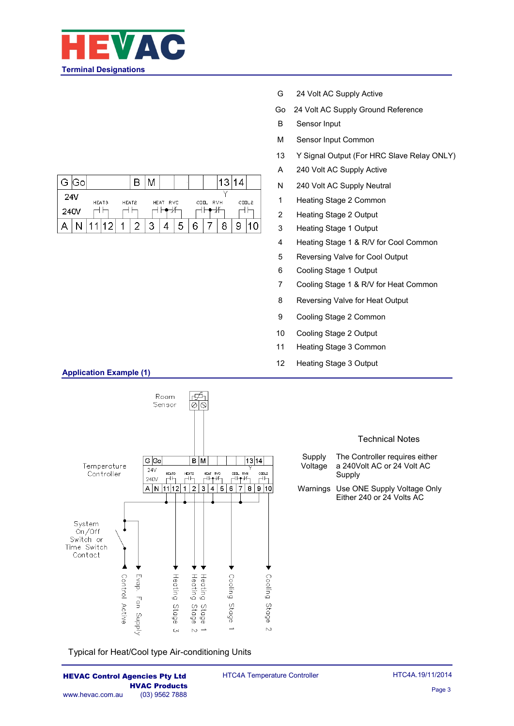

|                                                               | ദപ |  |   |  |  |   |  |   |   |  | ◠ |  |  |
|---------------------------------------------------------------|----|--|---|--|--|---|--|---|---|--|---|--|--|
| 24V<br>HEAT3<br><b>CODL2</b><br>HEAT2<br>HEAT RVC<br>COOL RVH |    |  |   |  |  |   |  |   |   |  |   |  |  |
| 240V                                                          |    |  |   |  |  |   |  |   |   |  |   |  |  |
|                                                               |    |  | ◠ |  |  | 2 |  | ∽ | 6 |  |   |  |  |

- G 24 Volt AC Supply Active
- Go 24 Volt AC Supply Ground Reference
- B Sensor Input
- M Sensor Input Common
- 13 Y Signal Output (For HRC Slave Relay ONLY)
- A 240 Volt AC Supply Active
- N 240 Volt AC Supply Neutral
- 1 Heating Stage 2 Common
- 2 Heating Stage 2 Output
- 3 Heating Stage 1 Output
- 4 Heating Stage 1 & R/V for Cool Common
- 5 Reversing Valve for Cool Output
- 6 Cooling Stage 1 Output
- 7 Cooling Stage 1 & R/V for Heat Common
- 8 Reversing Valve for Heat Output
- 9 Cooling Stage 2 Common
- 10 Cooling Stage 2 Output
- 11 Heating Stage 3 Common
- 12 Heating Stage 3 Output



Typical for Heat/Cool type Air-conditioning Units

HTC4A Temperature Controller

# **Application Example (1)**